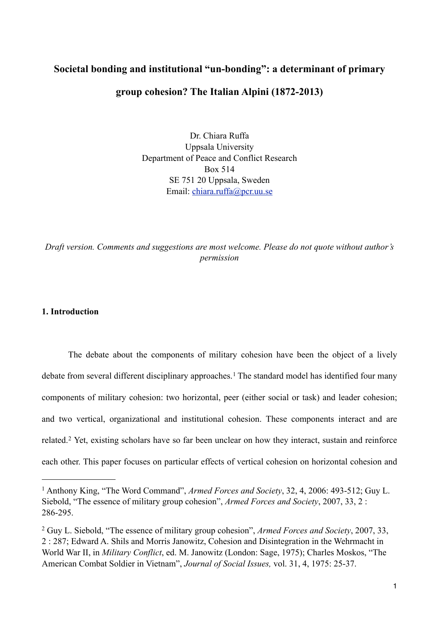# **Societal bonding and institutional "un-bonding": a determinant of primary group cohesion? The Italian Alpini (1872-2013)**

Dr. Chiara Ruffa Uppsala University Department of Peace and Conflict Research Box 514 SE 751 20 Uppsala, Sweden Email: [chiara.ruffa@pcr.uu.se](mailto:chiara.ruffa@pcr.uu.se)

*Draft version. Comments and suggestions are most welcome. Please do not quote without author's permission*

# **1. Introduction**

 The debate about the components of military cohesion have been the object of a lively debate from several different disciplinary approaches.<sup>1</sup> The standard model has identified four many components of military cohesion: two horizontal, peer (either social or task) and leader cohesion; and two vertical, organizational and institutional cohesion. These components interact and are related.[2](#page-0-1) Yet, existing scholars have so far been unclear on how they interact, sustain and reinforce each other. This paper focuses on particular effects of vertical cohesion on horizontal cohesion and

<span id="page-0-0"></span><sup>1</sup> Anthony King, "The Word Command", *Armed Forces and Society*, 32, 4, 2006: 493-512; Guy L. Siebold, "The essence of military group cohesion", *Armed Forces and Society*, 2007, 33, 2 : 286-295.

<span id="page-0-1"></span><sup>2</sup> Guy L. Siebold, "The essence of military group cohesion", *Armed Forces and Society*, 2007, 33, 2 : 287; Edward A. Shils and Morris Janowitz, Cohesion and Disintegration in the Wehrmacht in World War II, in *Military Conflict*, ed. M. Janowitz (London: Sage, 1975); Charles Moskos, "The American Combat Soldier in Vietnam", *Journal of Social Issues,* vol. 31, 4, 1975: 25-37.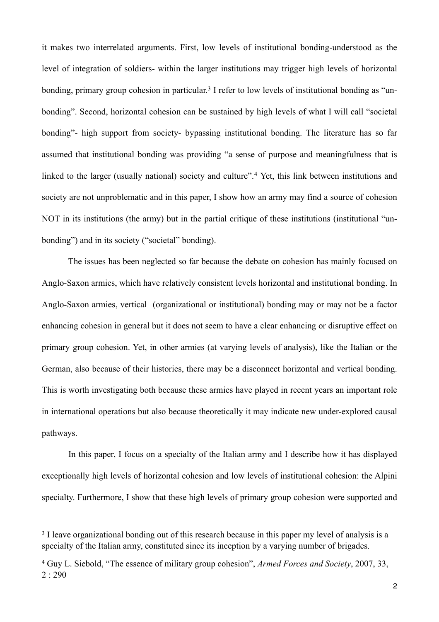it makes two interrelated arguments. First, low levels of institutional bonding-understood as the level of integration of soldiers- within the larger institutions may trigger high levels of horizontal bonding, primary group cohesion in particular.<sup>3</sup> I refer to low levels of institutional bonding as "unbonding". Second, horizontal cohesion can be sustained by high levels of what I will call "societal bonding"- high support from society- bypassing institutional bonding. The literature has so far assumed that institutional bonding was providing "a sense of purpose and meaningfulness that is linked to the larger (usually national) society and culture".<sup>4</sup> Yet, this link between institutions and society are not unproblematic and in this paper, I show how an army may find a source of cohesion NOT in its institutions (the army) but in the partial critique of these institutions (institutional "unbonding") and in its society ("societal" bonding).

 The issues has been neglected so far because the debate on cohesion has mainly focused on Anglo-Saxon armies, which have relatively consistent levels horizontal and institutional bonding. In Anglo-Saxon armies, vertical (organizational or institutional) bonding may or may not be a factor enhancing cohesion in general but it does not seem to have a clear enhancing or disruptive effect on primary group cohesion. Yet, in other armies (at varying levels of analysis), like the Italian or the German, also because of their histories, there may be a disconnect horizontal and vertical bonding. This is worth investigating both because these armies have played in recent years an important role in international operations but also because theoretically it may indicate new under-explored causal pathways.

 In this paper, I focus on a specialty of the Italian army and I describe how it has displayed exceptionally high levels of horizontal cohesion and low levels of institutional cohesion: the Alpini specialty. Furthermore, I show that these high levels of primary group cohesion were supported and

<span id="page-1-0"></span><sup>&</sup>lt;sup>3</sup> I leave organizational bonding out of this research because in this paper my level of analysis is a specialty of the Italian army, constituted since its inception by a varying number of brigades.

<span id="page-1-1"></span><sup>4</sup> Guy L. Siebold, "The essence of military group cohesion", *Armed Forces and Society*, 2007, 33, 2 : 290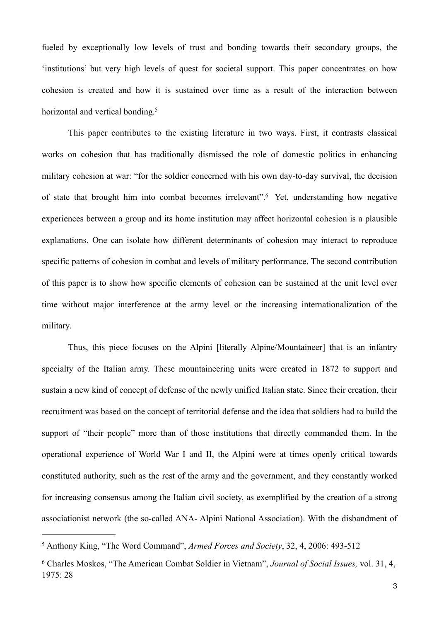fueled by exceptionally low levels of trust and bonding towards their secondary groups, the 'institutions' but very high levels of quest for societal support. This paper concentrates on how cohesion is created and how it is sustained over time as a result of the interaction between horizontal and vertical bonding.<sup>[5](#page-2-0)</sup>

 This paper contributes to the existing literature in two ways. First, it contrasts classical works on cohesion that has traditionally dismissed the role of domestic politics in enhancing military cohesion at war: "for the soldier concerned with his own day-to-day survival, the decision of state that brought him into combat becomes irrelevant".[6](#page-2-1) Yet, understanding how negative experiences between a group and its home institution may affect horizontal cohesion is a plausible explanations. One can isolate how different determinants of cohesion may interact to reproduce specific patterns of cohesion in combat and levels of military performance. The second contribution of this paper is to show how specific elements of cohesion can be sustained at the unit level over time without major interference at the army level or the increasing internationalization of the military.

 Thus, this piece focuses on the Alpini [literally Alpine/Mountaineer] that is an infantry specialty of the Italian army. These mountaineering units were created in 1872 to support and sustain a new kind of concept of defense of the newly unified Italian state. Since their creation, their recruitment was based on the concept of territorial defense and the idea that soldiers had to build the support of "their people" more than of those institutions that directly commanded them. In the operational experience of World War I and II, the Alpini were at times openly critical towards constituted authority, such as the rest of the army and the government, and they constantly worked for increasing consensus among the Italian civil society, as exemplified by the creation of a strong associationist network (the so-called ANA- Alpini National Association). With the disbandment of

<span id="page-2-0"></span><sup>5</sup> Anthony King, "The Word Command", *Armed Forces and Society*, 32, 4, 2006: 493-512

<span id="page-2-1"></span><sup>6</sup> Charles Moskos, "The American Combat Soldier in Vietnam", *Journal of Social Issues,* vol. 31, 4, 1975: 28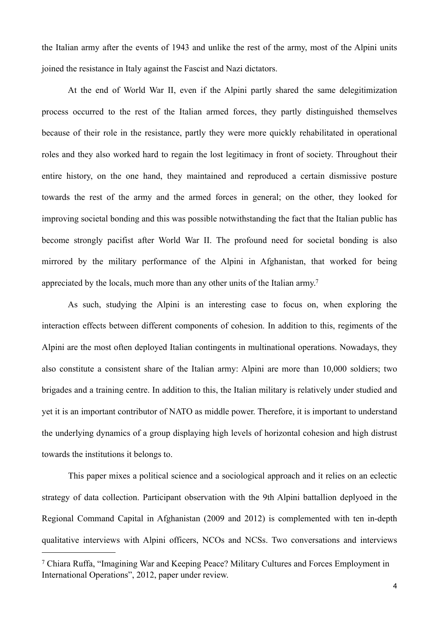the Italian army after the events of 1943 and unlike the rest of the army, most of the Alpini units joined the resistance in Italy against the Fascist and Nazi dictators.

 At the end of World War II, even if the Alpini partly shared the same delegitimization process occurred to the rest of the Italian armed forces, they partly distinguished themselves because of their role in the resistance, partly they were more quickly rehabilitated in operational roles and they also worked hard to regain the lost legitimacy in front of society. Throughout their entire history, on the one hand, they maintained and reproduced a certain dismissive posture towards the rest of the army and the armed forces in general; on the other, they looked for improving societal bonding and this was possible notwithstanding the fact that the Italian public has become strongly pacifist after World War II. The profound need for societal bonding is also mirrored by the military performance of the Alpini in Afghanistan, that worked for being appreciated by the locals, much more than any other units of the Italian army[.7](#page-3-0)

 As such, studying the Alpini is an interesting case to focus on, when exploring the interaction effects between different components of cohesion. In addition to this, regiments of the Alpini are the most often deployed Italian contingents in multinational operations. Nowadays, they also constitute a consistent share of the Italian army: Alpini are more than 10,000 soldiers; two brigades and a training centre. In addition to this, the Italian military is relatively under studied and yet it is an important contributor of NATO as middle power. Therefore, it is important to understand the underlying dynamics of a group displaying high levels of horizontal cohesion and high distrust towards the institutions it belongs to.

 This paper mixes a political science and a sociological approach and it relies on an eclectic strategy of data collection. Participant observation with the 9th Alpini battallion deplyoed in the Regional Command Capital in Afghanistan (2009 and 2012) is complemented with ten in-depth qualitative interviews with Alpini officers, NCOs and NCSs. Two conversations and interviews

<span id="page-3-0"></span><sup>7</sup> Chiara Ruffa, "Imagining War and Keeping Peace? Military Cultures and Forces Employment in International Operations", 2012, paper under review.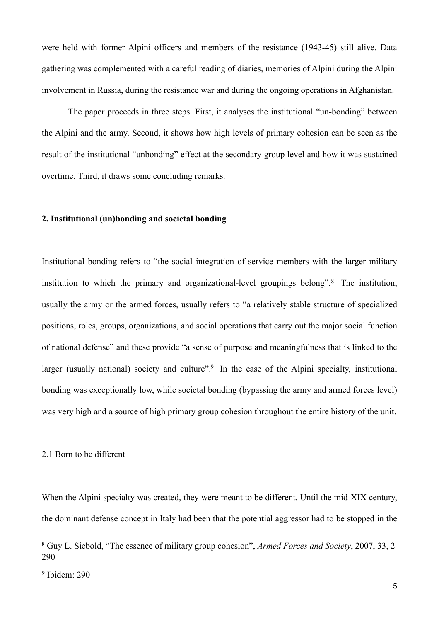were held with former Alpini officers and members of the resistance (1943-45) still alive. Data gathering was complemented with a careful reading of diaries, memories of Alpini during the Alpini involvement in Russia, during the resistance war and during the ongoing operations in Afghanistan.

 The paper proceeds in three steps. First, it analyses the institutional "un-bonding" between the Alpini and the army. Second, it shows how high levels of primary cohesion can be seen as the result of the institutional "unbonding" effect at the secondary group level and how it was sustained overtime. Third, it draws some concluding remarks.

#### **2. Institutional (un)bonding and societal bonding**

Institutional bonding refers to "the social integration of service members with the larger military institution to which the primary and organizational-level groupings belong".[8](#page-4-0) The institution, usually the army or the armed forces, usually refers to "a relatively stable structure of specialized positions, roles, groups, organizations, and social operations that carry out the major social function of national defense" and these provide "a sense of purpose and meaningfulness that is linked to the larger (usually national) society and culture".<sup>9</sup> In the case of the Alpini specialty, institutional bonding was exceptionally low, while societal bonding (bypassing the army and armed forces level) was very high and a source of high primary group cohesion throughout the entire history of the unit.

#### 2.1 Born to be different

When the Alpini specialty was created, they were meant to be different. Until the mid-XIX century, the dominant defense concept in Italy had been that the potential aggressor had to be stopped in the

<span id="page-4-0"></span><sup>8</sup> Guy L. Siebold, "The essence of military group cohesion", *Armed Forces and Society*, 2007, 33, 2 290

<span id="page-4-1"></span><sup>9</sup> Ibidem: 290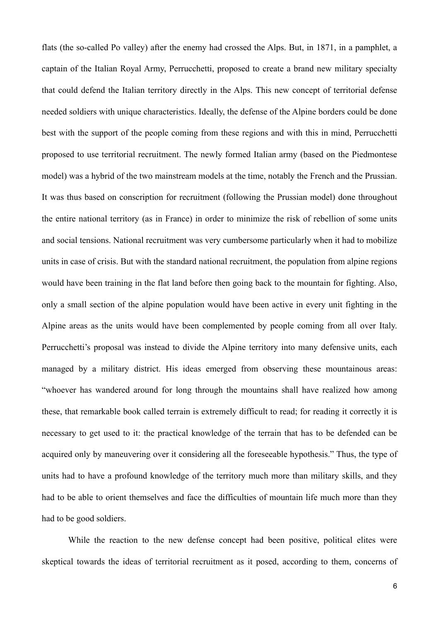flats (the so-called Po valley) after the enemy had crossed the Alps. But, in 1871, in a pamphlet, a captain of the Italian Royal Army, Perrucchetti, proposed to create a brand new military specialty that could defend the Italian territory directly in the Alps. This new concept of territorial defense needed soldiers with unique characteristics. Ideally, the defense of the Alpine borders could be done best with the support of the people coming from these regions and with this in mind, Perrucchetti proposed to use territorial recruitment. The newly formed Italian army (based on the Piedmontese model) was a hybrid of the two mainstream models at the time, notably the French and the Prussian. It was thus based on conscription for recruitment (following the Prussian model) done throughout the entire national territory (as in France) in order to minimize the risk of rebellion of some units and social tensions. National recruitment was very cumbersome particularly when it had to mobilize units in case of crisis. But with the standard national recruitment, the population from alpine regions would have been training in the flat land before then going back to the mountain for fighting. Also, only a small section of the alpine population would have been active in every unit fighting in the Alpine areas as the units would have been complemented by people coming from all over Italy. Perrucchetti's proposal was instead to divide the Alpine territory into many defensive units, each managed by a military district. His ideas emerged from observing these mountainous areas: "whoever has wandered around for long through the mountains shall have realized how among these, that remarkable book called terrain is extremely difficult to read; for reading it correctly it is necessary to get used to it: the practical knowledge of the terrain that has to be defended can be acquired only by maneuvering over it considering all the foreseeable hypothesis." Thus, the type of units had to have a profound knowledge of the territory much more than military skills, and they had to be able to orient themselves and face the difficulties of mountain life much more than they had to be good soldiers.

 While the reaction to the new defense concept had been positive, political elites were skeptical towards the ideas of territorial recruitment as it posed, according to them, concerns of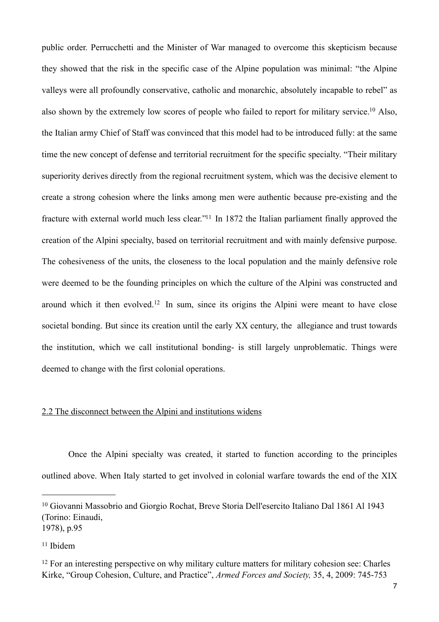public order. Perrucchetti and the Minister of War managed to overcome this skepticism because they showed that the risk in the specific case of the Alpine population was minimal: "the Alpine valleys were all profoundly conservative, catholic and monarchic, absolutely incapable to rebel" as also shown by the extremely low scores of people who failed to report for military service[.10](#page-6-0) Also, the Italian army Chief of Staff was convinced that this model had to be introduced fully: at the same time the new concept of defense and territorial recruitment for the specific specialty. "Their military superiority derives directly from the regional recruitment system, which was the decisive element to create a strong cohesion where the links among men were authentic because pre-existing and the fracture with external world much less clear.["11](#page-6-1) In 1872 the Italian parliament finally approved the creation of the Alpini specialty, based on territorial recruitment and with mainly defensive purpose. The cohesiveness of the units, the closeness to the local population and the mainly defensive role were deemed to be the founding principles on which the culture of the Alpini was constructed and around which it then evolved.[12](#page-6-2) In sum, since its origins the Alpini were meant to have close societal bonding. But since its creation until the early XX century, the allegiance and trust towards the institution, which we call institutional bonding- is still largely unproblematic. Things were deemed to change with the first colonial operations.

# 2.2 The disconnect between the Alpini and institutions widens

 Once the Alpini specialty was created, it started to function according to the principles outlined above. When Italy started to get involved in colonial warfare towards the end of the XIX

<span id="page-6-0"></span><sup>10</sup> Giovanni Massobrio and Giorgio Rochat, Breve Storia Dell'esercito Italiano Dal 1861 Al 1943 (Torino: Einaudi, 1978), p.95

<span id="page-6-1"></span> $11$  Ibidem

<span id="page-6-2"></span><sup>&</sup>lt;sup>12</sup> For an interesting perspective on why military culture matters for military cohesion see: Charles Kirke, "Group Cohesion, Culture, and Practice", *Armed Forces and Society,* 35, 4, 2009: 745-753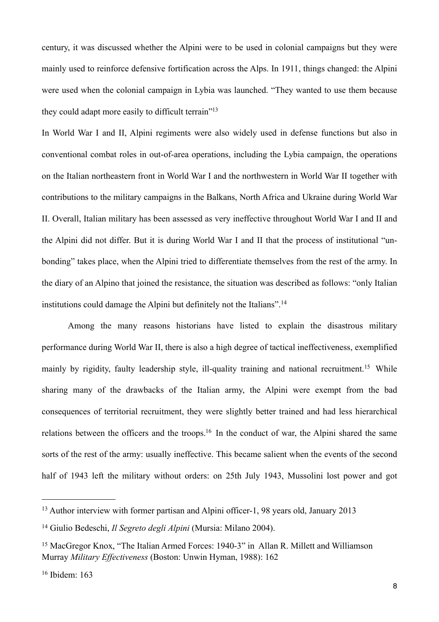century, it was discussed whether the Alpini were to be used in colonial campaigns but they were mainly used to reinforce defensive fortification across the Alps. In 1911, things changed: the Alpini were used when the colonial campaign in Lybia was launched. "They wanted to use them because they could adapt more easily to difficult terrain["13](#page-7-0)

In World War I and II, Alpini regiments were also widely used in defense functions but also in conventional combat roles in out-of-area operations, including the Lybia campaign, the operations on the Italian northeastern front in World War I and the northwestern in World War II together with contributions to the military campaigns in the Balkans, North Africa and Ukraine during World War II. Overall, Italian military has been assessed as very ineffective throughout World War I and II and the Alpini did not differ. But it is during World War I and II that the process of institutional "unbonding" takes place, when the Alpini tried to differentiate themselves from the rest of the army. In the diary of an Alpino that joined the resistance, the situation was described as follows: "only Italian institutions could damage the Alpini but definitely not the Italians".[14](#page-7-1)

 Among the many reasons historians have listed to explain the disastrous military performance during World War II, there is also a high degree of tactical ineffectiveness, exemplified mainly by rigidity, faulty leadership style, ill-quality training and national recruitment.<sup>15</sup> While sharing many of the drawbacks of the Italian army, the Alpini were exempt from the bad consequences of territorial recruitment, they were slightly better trained and had less hierarchical relations between the officers and the troops[.16](#page-7-3) In the conduct of war, the Alpini shared the same sorts of the rest of the army: usually ineffective. This became salient when the events of the second half of 1943 left the military without orders: on 25th July 1943, Mussolini lost power and got

<span id="page-7-0"></span><sup>&</sup>lt;sup>13</sup> Author interview with former partisan and Alpini officer-1, 98 years old, January 2013

<span id="page-7-1"></span><sup>14</sup> Giulio Bedeschi, *Il Segreto degli Alpini* (Mursia: Milano 2004).

<span id="page-7-2"></span><sup>15</sup> MacGregor Knox, "The Italian Armed Forces: 1940-3" in Allan R. Millett and Williamson Murray *Military Effectiveness* (Boston: Unwin Hyman, 1988): 162

<span id="page-7-3"></span><sup>16</sup> Ibidem: 163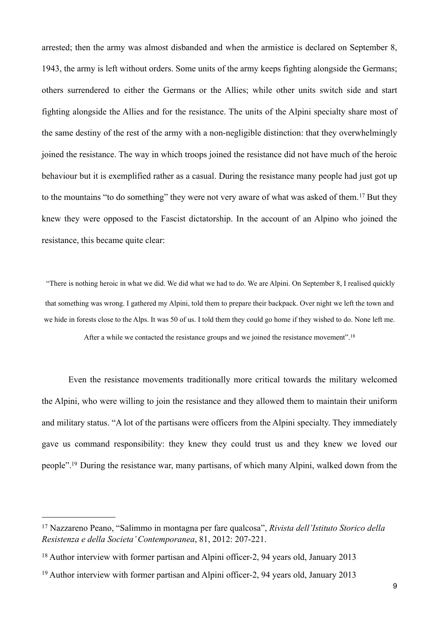arrested; then the army was almost disbanded and when the armistice is declared on September 8, 1943, the army is left without orders. Some units of the army keeps fighting alongside the Germans; others surrendered to either the Germans or the Allies; while other units switch side and start fighting alongside the Allies and for the resistance. The units of the Alpini specialty share most of the same destiny of the rest of the army with a non-negligible distinction: that they overwhelmingly joined the resistance. The way in which troops joined the resistance did not have much of the heroic behaviour but it is exemplified rather as a casual. During the resistance many people had just got up to the mountains "to do something" they were not very aware of what was asked of them.<sup>17</sup> But they knew they were opposed to the Fascist dictatorship. In the account of an Alpino who joined the resistance, this became quite clear:

"There is nothing heroic in what we did. We did what we had to do. We are Alpini. On September 8, I realised quickly that something was wrong. I gathered my Alpini, told them to prepare their backpack. Over night we left the town and we hide in forests close to the Alps. It was 50 of us. I told them they could go home if they wished to do. None left me.

After a while we contacted the resistance groups and we joined the resistance movement".[18](#page-8-1)

 Even the resistance movements traditionally more critical towards the military welcomed the Alpini, who were willing to join the resistance and they allowed them to maintain their uniform and military status. "A lot of the partisans were officers from the Alpini specialty. They immediately gave us command responsibility: they knew they could trust us and they knew we loved our people"[.19](#page-8-2) During the resistance war, many partisans, of which many Alpini, walked down from the

<span id="page-8-0"></span><sup>17</sup> Nazzareno Peano, "Salimmo in montagna per fare qualcosa", *Rivista dell'Istituto Storico della Resistenza e della Societa' Contemporanea*, 81, 2012: 207-221.

<span id="page-8-1"></span><sup>&</sup>lt;sup>18</sup> Author interview with former partisan and Alpini officer-2, 94 years old, January 2013

<span id="page-8-2"></span><sup>19</sup> Author interview with former partisan and Alpini officer-2, 94 years old, January 2013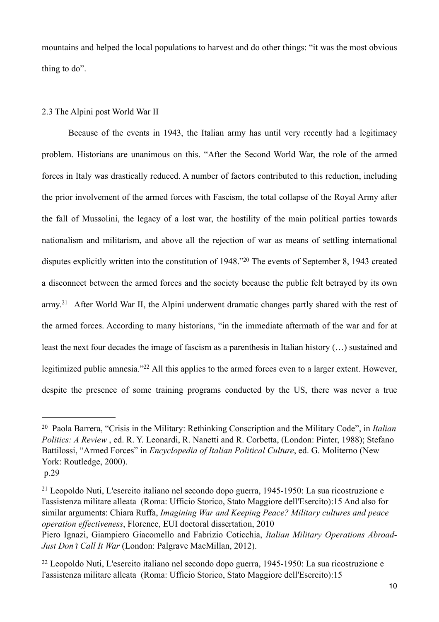mountains and helped the local populations to harvest and do other things: "it was the most obvious thing to do".

#### 2.3 The Alpini post World War II

 Because of the events in 1943, the Italian army has until very recently had a legitimacy problem. Historians are unanimous on this. "After the Second World War, the role of the armed forces in Italy was drastically reduced. A number of factors contributed to this reduction, including the prior involvement of the armed forces with Fascism, the total collapse of the Royal Army after the fall of Mussolini, the legacy of a lost war, the hostility of the main political parties towards nationalism and militarism, and above all the rejection of war as means of settling international disputes explicitly written into the constitution of 1948."[20](#page-9-0) The events of September 8, 1943 created a disconnect between the armed forces and the society because the public felt betrayed by its own army.[21](#page-9-1) After World War II, the Alpini underwent dramatic changes partly shared with the rest of the armed forces. According to many historians, "in the immediate aftermath of the war and for at least the next four decades the image of fascism as a parenthesis in Italian history (…) sustained and legitimized public amnesia."[22](#page-9-2) All this applies to the armed forces even to a larger extent. However, despite the presence of some training programs conducted by the US, there was never a true

<span id="page-9-0"></span><sup>20</sup> Paola Barrera, "Crisis in the Military: Rethinking Conscription and the Military Code", in *Italian Politics: A Review* , ed. R. Y. Leonardi, R. Nanetti and R. Corbetta, (London: Pinter, 1988); Stefano Battilossi, "Armed Forces" in *Encyclopedia of Italian Political Culture*, ed. G. Moliterno (New York: Routledge, 2000).

p.29

<span id="page-9-1"></span><sup>21</sup> Leopoldo Nuti, L'esercito italiano nel secondo dopo guerra, 1945-1950: La sua ricostruzione e l'assistenza militare alleata (Roma: Ufficio Storico, Stato Maggiore dell'Esercito):15 And also for similar arguments: Chiara Ruffa, *Imagining War and Keeping Peace? Military cultures and peace operation effectiveness*, Florence, EUI doctoral dissertation, 2010

Piero Ignazi, Giampiero Giacomello and Fabrizio Coticchia, *Italian Military Operations Abroad-Just Don't Call It War* (London: Palgrave MacMillan, 2012).

<span id="page-9-2"></span><sup>22</sup> Leopoldo Nuti, L'esercito italiano nel secondo dopo guerra, 1945-1950: La sua ricostruzione e l'assistenza militare alleata (Roma: Ufficio Storico, Stato Maggiore dell'Esercito):15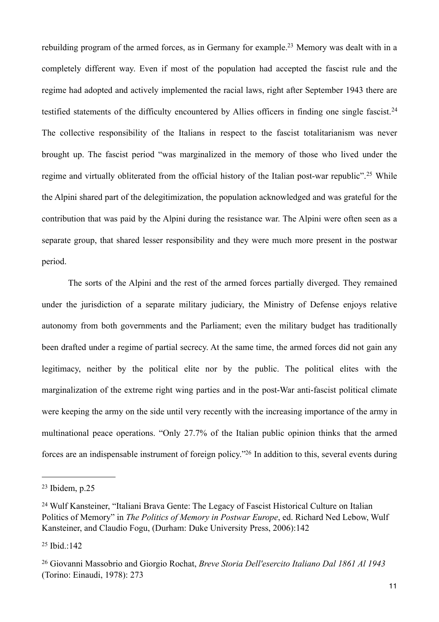rebuilding program of the armed forces, as in Germany for example.[23](#page-10-0) Memory was dealt with in a completely different way. Even if most of the population had accepted the fascist rule and the regime had adopted and actively implemented the racial laws, right after September 1943 there are testified statements of the difficulty encountered by Allies officers in finding one single fascist.[24](#page-10-1) The collective responsibility of the Italians in respect to the fascist totalitarianism was never brought up. The fascist period "was marginalized in the memory of those who lived under the regime and virtually obliterated from the official history of the Italian post-war republic".<sup>25</sup> While the Alpini shared part of the delegitimization, the population acknowledged and was grateful for the contribution that was paid by the Alpini during the resistance war. The Alpini were often seen as a separate group, that shared lesser responsibility and they were much more present in the postwar period.

 The sorts of the Alpini and the rest of the armed forces partially diverged. They remained under the jurisdiction of a separate military judiciary, the Ministry of Defense enjoys relative autonomy from both governments and the Parliament; even the military budget has traditionally been drafted under a regime of partial secrecy. At the same time, the armed forces did not gain any legitimacy, neither by the political elite nor by the public. The political elites with the marginalization of the extreme right wing parties and in the post-War anti-fascist political climate were keeping the army on the side until very recently with the increasing importance of the army in multinational peace operations. "Only 27.7% of the Italian public opinion thinks that the armed forces are an indispensable instrument of foreign policy."[26](#page-10-3) In addition to this, several events during

<span id="page-10-0"></span> $23$  Ibidem, p.25

<span id="page-10-1"></span><sup>24</sup> Wulf Kansteiner, "Italiani Brava Gente: The Legacy of Fascist Historical Culture on Italian Politics of Memory" in *The Politics of Memory in Postwar Europe*, ed. Richard Ned Lebow, Wulf Kansteiner, and Claudio Fogu, (Durham: Duke University Press, 2006):142

<span id="page-10-2"></span><sup>25</sup> Ibid.:142

<span id="page-10-3"></span><sup>26</sup> Giovanni Massobrio and Giorgio Rochat, *Breve Storia Dell'esercito Italiano Dal 1861 Al 1943*  (Torino: Einaudi, 1978): 273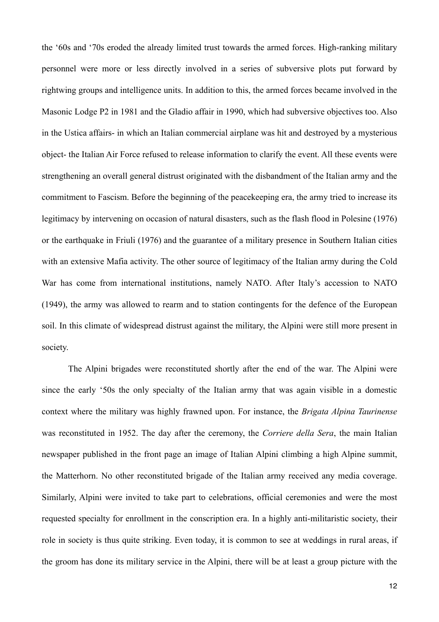the '60s and '70s eroded the already limited trust towards the armed forces. High-ranking military personnel were more or less directly involved in a series of subversive plots put forward by rightwing groups and intelligence units. In addition to this, the armed forces became involved in the Masonic Lodge P2 in 1981 and the Gladio affair in 1990, which had subversive objectives too. Also in the Ustica affairs- in which an Italian commercial airplane was hit and destroyed by a mysterious object- the Italian Air Force refused to release information to clarify the event. All these events were strengthening an overall general distrust originated with the disbandment of the Italian army and the commitment to Fascism. Before the beginning of the peacekeeping era, the army tried to increase its legitimacy by intervening on occasion of natural disasters, such as the flash flood in Polesine (1976) or the earthquake in Friuli (1976) and the guarantee of a military presence in Southern Italian cities with an extensive Mafia activity. The other source of legitimacy of the Italian army during the Cold War has come from international institutions, namely NATO. After Italy's accession to NATO (1949), the army was allowed to rearm and to station contingents for the defence of the European soil. In this climate of widespread distrust against the military, the Alpini were still more present in society.

 The Alpini brigades were reconstituted shortly after the end of the war. The Alpini were since the early '50s the only specialty of the Italian army that was again visible in a domestic context where the military was highly frawned upon. For instance, the *Brigata Alpina Taurinense*  was reconstituted in 1952. The day after the ceremony, the *Corriere della Sera*, the main Italian newspaper published in the front page an image of Italian Alpini climbing a high Alpine summit, the Matterhorn. No other reconstituted brigade of the Italian army received any media coverage. Similarly, Alpini were invited to take part to celebrations, official ceremonies and were the most requested specialty for enrollment in the conscription era. In a highly anti-militaristic society, their role in society is thus quite striking. Even today, it is common to see at weddings in rural areas, if the groom has done its military service in the Alpini, there will be at least a group picture with the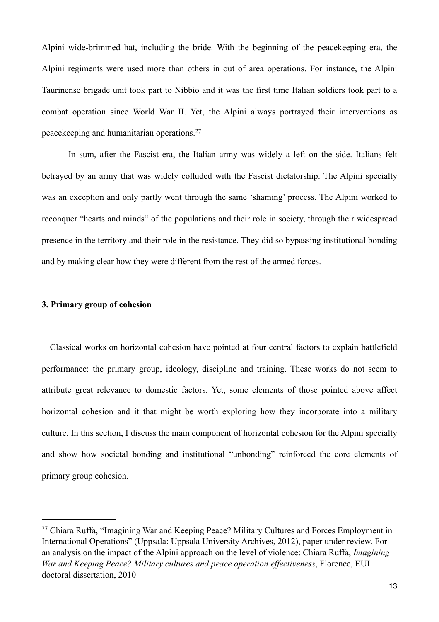Alpini wide-brimmed hat, including the bride. With the beginning of the peacekeeping era, the Alpini regiments were used more than others in out of area operations. For instance, the Alpini Taurinense brigade unit took part to Nibbio and it was the first time Italian soldiers took part to a combat operation since World War II. Yet, the Alpini always portrayed their interventions as peacekeeping and humanitarian operations.[27](#page-12-0)

 In sum, after the Fascist era, the Italian army was widely a left on the side. Italians felt betrayed by an army that was widely colluded with the Fascist dictatorship. The Alpini specialty was an exception and only partly went through the same 'shaming' process. The Alpini worked to reconquer "hearts and minds" of the populations and their role in society, through their widespread presence in the territory and their role in the resistance. They did so bypassing institutional bonding and by making clear how they were different from the rest of the armed forces.

# **3. Primary group of cohesion**

 Classical works on horizontal cohesion have pointed at four central factors to explain battlefield performance: the primary group, ideology, discipline and training. These works do not seem to attribute great relevance to domestic factors. Yet, some elements of those pointed above affect horizontal cohesion and it that might be worth exploring how they incorporate into a military culture. In this section, I discuss the main component of horizontal cohesion for the Alpini specialty and show how societal bonding and institutional "unbonding" reinforced the core elements of primary group cohesion.

<span id="page-12-0"></span><sup>&</sup>lt;sup>27</sup> Chiara Ruffa, "Imagining War and Keeping Peace? Military Cultures and Forces Employment in International Operations" (Uppsala: Uppsala University Archives, 2012), paper under review. For an analysis on the impact of the Alpini approach on the level of violence: Chiara Ruffa, *Imagining War and Keeping Peace? Military cultures and peace operation effectiveness*, Florence, EUI doctoral dissertation, 2010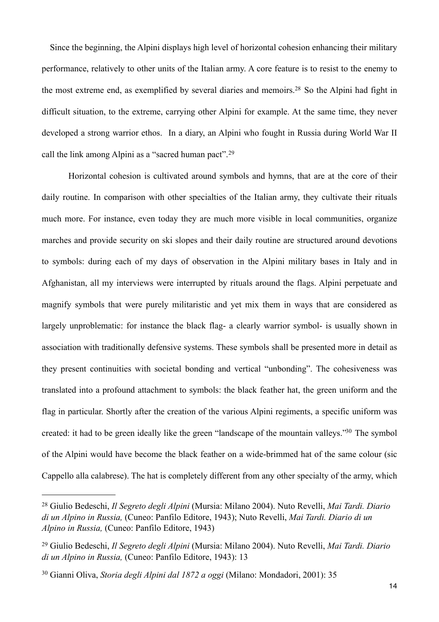Since the beginning, the Alpini displays high level of horizontal cohesion enhancing their military performance, relatively to other units of the Italian army. A core feature is to resist to the enemy to the most extreme end, as exemplified by several diaries and memoirs.[28](#page-13-0) So the Alpini had fight in difficult situation, to the extreme, carrying other Alpini for example. At the same time, they never developed a strong warrior ethos. In a diary, an Alpini who fought in Russia during World War II call the link among Alpini as a "sacred human pact".[29](#page-13-1)

 Horizontal cohesion is cultivated around symbols and hymns, that are at the core of their daily routine. In comparison with other specialties of the Italian army, they cultivate their rituals much more. For instance, even today they are much more visible in local communities, organize marches and provide security on ski slopes and their daily routine are structured around devotions to symbols: during each of my days of observation in the Alpini military bases in Italy and in Afghanistan, all my interviews were interrupted by rituals around the flags. Alpini perpetuate and magnify symbols that were purely militaristic and yet mix them in ways that are considered as largely unproblematic: for instance the black flag- a clearly warrior symbol- is usually shown in association with traditionally defensive systems. These symbols shall be presented more in detail as they present continuities with societal bonding and vertical "unbonding". The cohesiveness was translated into a profound attachment to symbols: the black feather hat, the green uniform and the flag in particular. Shortly after the creation of the various Alpini regiments, a specific uniform was created: it had to be green ideally like the green "landscape of the mountain valleys.["30](#page-13-2) The symbol of the Alpini would have become the black feather on a wide-brimmed hat of the same colour (sic Cappello alla calabrese). The hat is completely different from any other specialty of the army, which

<span id="page-13-0"></span><sup>28</sup> Giulio Bedeschi, *Il Segreto degli Alpini* (Mursia: Milano 2004). Nuto Revelli, *Mai Tardi. Diario di un Alpino in Russia,* (Cuneo: Panfilo Editore, 1943); Nuto Revelli, *Mai Tardi. Diario di un Alpino in Russia,* (Cuneo: Panfilo Editore, 1943)

<span id="page-13-1"></span><sup>29</sup> Giulio Bedeschi, *Il Segreto degli Alpini* (Mursia: Milano 2004). Nuto Revelli, *Mai Tardi. Diario di un Alpino in Russia,* (Cuneo: Panfilo Editore, 1943): 13

<span id="page-13-2"></span><sup>30</sup> Gianni Oliva, *Storia degli Alpini dal 1872 a oggi* (Milano: Mondadori, 2001): 35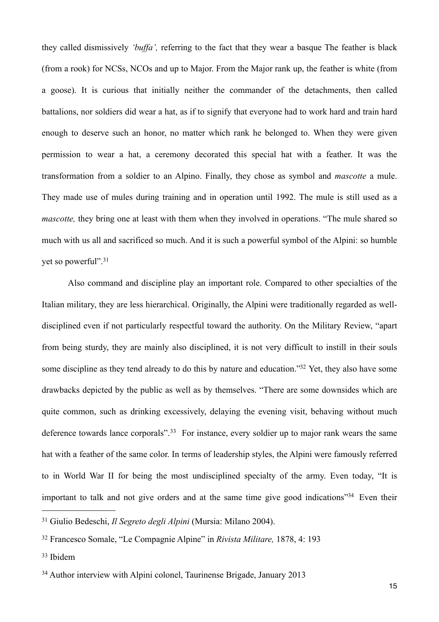they called dismissively *'buffa',* referring to the fact that they wear a basque The feather is black (from a rook) for NCSs, NCOs and up to Major. From the Major rank up, the feather is white (from a goose). It is curious that initially neither the commander of the detachments, then called battalions, nor soldiers did wear a hat, as if to signify that everyone had to work hard and train hard enough to deserve such an honor, no matter which rank he belonged to. When they were given permission to wear a hat, a ceremony decorated this special hat with a feather. It was the transformation from a soldier to an Alpino. Finally, they chose as symbol and *mascotte* a mule. They made use of mules during training and in operation until 1992. The mule is still used as a *mascotte*, they bring one at least with them when they involved in operations. "The mule shared so much with us all and sacrificed so much. And it is such a powerful symbol of the Alpini: so humble yet so powerful".[31](#page-14-0)

 Also command and discipline play an important role. Compared to other specialties of the Italian military, they are less hierarchical. Originally, the Alpini were traditionally regarded as welldisciplined even if not particularly respectful toward the authority. On the Military Review, "apart from being sturdy, they are mainly also disciplined, it is not very difficult to instill in their souls some discipline as they tend already to do this by nature and education."<sup>32</sup> Yet, they also have some drawbacks depicted by the public as well as by themselves. "There are some downsides which are quite common, such as drinking excessively, delaying the evening visit, behaving without much deference towards lance corporals".<sup>33</sup> For instance, every soldier up to major rank wears the same hat with a feather of the same color. In terms of leadership styles, the Alpini were famously referred to in World War II for being the most undisciplined specialty of the army. Even today, "It is important to talk and not give orders and at the same time give good indications<sup>"34</sup> Even their

<span id="page-14-0"></span><sup>31</sup> Giulio Bedeschi, *Il Segreto degli Alpini* (Mursia: Milano 2004).

<span id="page-14-1"></span><sup>32</sup> Francesco Somale, "Le Compagnie Alpine" in *Rivista Militare,* 1878, 4: 193

<span id="page-14-2"></span><sup>33</sup> Ibidem

<span id="page-14-3"></span><sup>34</sup> Author interview with Alpini colonel, Taurinense Brigade, January 2013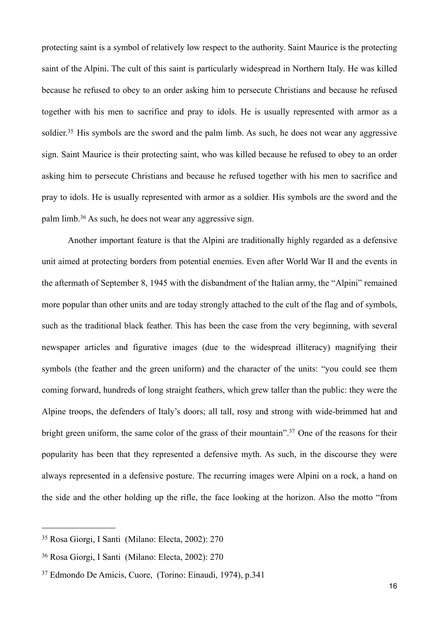protecting saint is a symbol of relatively low respect to the authority. Saint Maurice is the protecting saint of the Alpini. The cult of this saint is particularly widespread in Northern Italy. He was killed because he refused to obey to an order asking him to persecute Christians and because he refused together with his men to sacrifice and pray to idols. He is usually represented with armor as a soldier.<sup>35</sup> His symbols are the sword and the palm limb. As such, he does not wear any aggressive sign. Saint Maurice is their protecting saint, who was killed because he refused to obey to an order asking him to persecute Christians and because he refused together with his men to sacrifice and pray to idols. He is usually represented with armor as a soldier. His symbols are the sword and the palm limb.[36](#page-15-1) As such, he does not wear any aggressive sign.

 Another important feature is that the Alpini are traditionally highly regarded as a defensive unit aimed at protecting borders from potential enemies. Even after World War II and the events in the aftermath of September 8, 1945 with the disbandment of the Italian army, the "Alpini" remained more popular than other units and are today strongly attached to the cult of the flag and of symbols, such as the traditional black feather. This has been the case from the very beginning, with several newspaper articles and figurative images (due to the widespread illiteracy) magnifying their symbols (the feather and the green uniform) and the character of the units: "you could see them coming forward, hundreds of long straight feathers, which grew taller than the public: they were the Alpine troops, the defenders of Italy's doors; all tall, rosy and strong with wide-brimmed hat and bright green uniform, the same color of the grass of their mountain".<sup>37</sup> One of the reasons for their popularity has been that they represented a defensive myth. As such, in the discourse they were always represented in a defensive posture. The recurring images were Alpini on a rock, a hand on the side and the other holding up the rifle, the face looking at the horizon. Also the motto "from

<span id="page-15-0"></span><sup>35</sup> Rosa Giorgi, I Santi (Milano: Electa, 2002): 270

<span id="page-15-1"></span><sup>36</sup> Rosa Giorgi, I Santi (Milano: Electa, 2002): 270

<span id="page-15-2"></span><sup>37</sup> Edmondo De Amicis, Cuore, (Torino: Einaudi, 1974), p.341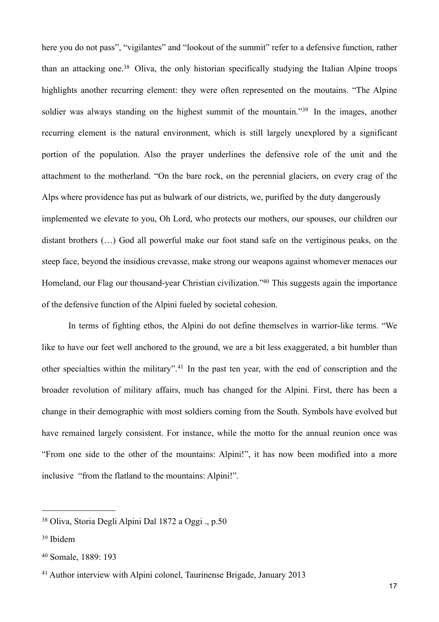here you do not pass", "vigilantes" and "lookout of the summit" refer to a defensive function, rather than an attacking one.[38](#page-16-0) Oliva, the only historian specifically studying the Italian Alpine troops highlights another recurring element: they were often represented on the moutains. "The Alpine soldier was always standing on the highest summit of the mountain."<sup>39</sup> In the images, another recurring element is the natural environment, which is still largely unexplored by a significant portion of the population. Also the prayer underlines the defensive role of the unit and the attachment to the motherland. "On the bare rock, on the perennial glaciers, on every crag of the Alps where providence has put as bulwark of our districts, we, purified by the duty dangerously implemented we elevate to you, Oh Lord, who protects our mothers, our spouses, our children our distant brothers (…) God all powerful make our foot stand safe on the vertiginous peaks, on the steep face, beyond the insidious crevasse, make strong our weapons against whomever menaces our Homeland, our Flag our thousand-year Christian civilization."<sup>40</sup> This suggests again the importance of the defensive function of the Alpini fueled by societal cohesion.

 In terms of fighting ethos, the Alpini do not define themselves in warrior-like terms. "We like to have our feet well anchored to the ground, we are a bit less exaggerated, a bit humbler than other specialties within the military".[41](#page-16-3) In the past ten year, with the end of conscription and the broader revolution of military affairs, much has changed for the Alpini. First, there has been a change in their demographic with most soldiers coming from the South. Symbols have evolved but have remained largely consistent. For instance, while the motto for the annual reunion once was "From one side to the other of the mountains: Alpini!", it has now been modified into a more inclusive "from the flatland to the mountains: Alpini!".

<span id="page-16-0"></span><sup>38</sup> Oliva, Storia Degli Alpini Dal 1872 a Oggi ., p.50

<span id="page-16-1"></span><sup>39</sup> Ibidem

<span id="page-16-2"></span><sup>40</sup> Somale, 1889: 193

<span id="page-16-3"></span><sup>41</sup> Author interview with Alpini colonel, Taurinense Brigade, January 2013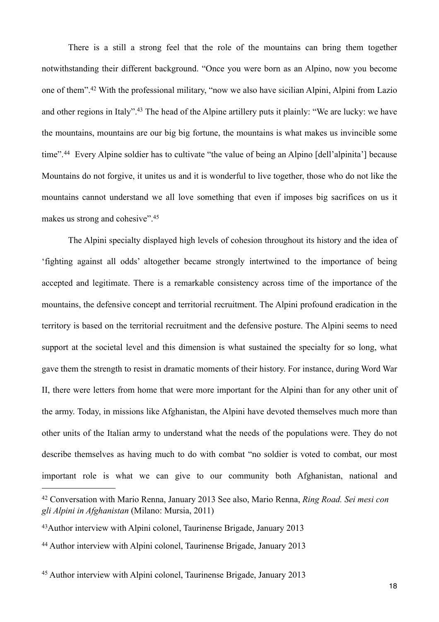There is a still a strong feel that the role of the mountains can bring them together notwithstanding their different background. "Once you were born as an Alpino, now you become one of them".[42](#page-17-0) With the professional military, "now we also have sicilian Alpini, Alpini from Lazio and other regions in Italy".[43](#page-17-1) The head of the Alpine artillery puts it plainly: "We are lucky: we have the mountains, mountains are our big big fortune, the mountains is what makes us invincible some time".<sup>44</sup> Every Alpine soldier has to cultivate "the value of being an Alpino [dell'alpinita'] because Mountains do not forgive, it unites us and it is wonderful to live together, those who do not like the mountains cannot understand we all love something that even if imposes big sacrifices on us it makes us strong and cohesive".[45](#page-17-3)

 The Alpini specialty displayed high levels of cohesion throughout its history and the idea of 'fighting against all odds' altogether became strongly intertwined to the importance of being accepted and legitimate. There is a remarkable consistency across time of the importance of the mountains, the defensive concept and territorial recruitment. The Alpini profound eradication in the territory is based on the territorial recruitment and the defensive posture. The Alpini seems to need support at the societal level and this dimension is what sustained the specialty for so long, what gave them the strength to resist in dramatic moments of their history. For instance, during Word War II, there were letters from home that were more important for the Alpini than for any other unit of the army. Today, in missions like Afghanistan, the Alpini have devoted themselves much more than other units of the Italian army to understand what the needs of the populations were. They do not describe themselves as having much to do with combat "no soldier is voted to combat, our most important role is what we can give to our community both Afghanistan, national and

<span id="page-17-0"></span><sup>42</sup> Conversation with Mario Renna, January 2013 See also, Mario Renna, *Ring Road. Sei mesi con gli Alpini in Afghanistan* (Milano: Mursia, 2011)

<span id="page-17-1"></span><sup>43</sup>Author interview with Alpini colonel, Taurinense Brigade, January 2013

<span id="page-17-2"></span><sup>44</sup> Author interview with Alpini colonel, Taurinense Brigade, January 2013

<span id="page-17-3"></span><sup>45</sup> Author interview with Alpini colonel, Taurinense Brigade, January 2013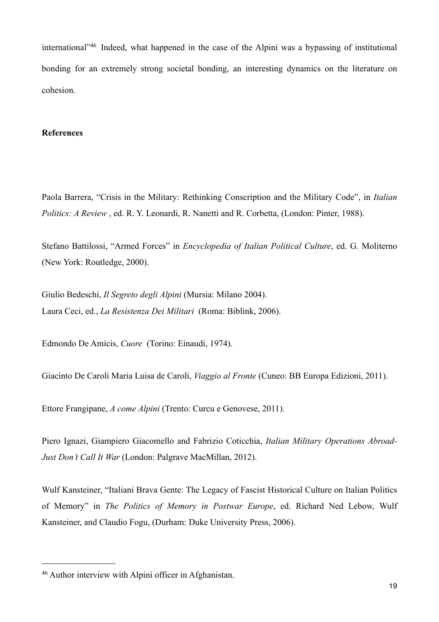international"[46](#page-18-0) Indeed, what happened in the case of the Alpini was a bypassing of institutional bonding for an extremely strong societal bonding, an interesting dynamics on the literature on cohesion.

#### **References**

Paola Barrera, "Crisis in the Military: Rethinking Conscription and the Military Code", in *Italian Politics: A Review* , ed. R. Y. Leonardi, R. Nanetti and R. Corbetta, (London: Pinter, 1988).

Stefano Battilossi, "Armed Forces" in *Encyclopedia of Italian Political Culture*, ed. G. Moliterno (New York: Routledge, 2000).

Giulio Bedeschi, *Il Segreto degli Alpini* (Mursia: Milano 2004). Laura Ceci, ed., *La Resistenza Dei Militari* (Roma: Biblink, 2006).

Edmondo De Amicis, *Cuore* (Torino: Einaudi, 1974).

Giacinto De Caroli Maria Luisa de Caroli, *Viaggio al Fronte* (Cuneo: BB Europa Edizioni, 2011).

Ettore Frangipane, *A come Alpini* (Trento: Curcu e Genovese, 2011).

Piero Ignazi, Giampiero Giacomello and Fabrizio Coticchia, *Italian Military Operations Abroad-Just Don't Call It War* (London: Palgrave MacMillan, 2012).

Wulf Kansteiner, "Italiani Brava Gente: The Legacy of Fascist Historical Culture on Italian Politics of Memory" in *The Politics of Memory in Postwar Europe*, ed. Richard Ned Lebow, Wulf Kansteiner, and Claudio Fogu, (Durham: Duke University Press, 2006).

<span id="page-18-0"></span><sup>46</sup> Author interview with Alpini officer in Afghanistan.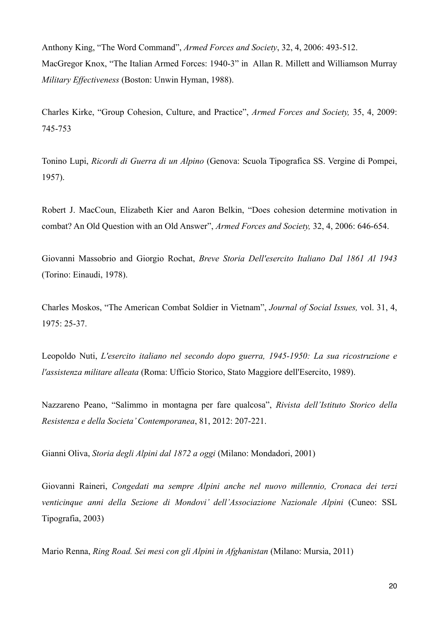Anthony King, "The Word Command", *Armed Forces and Society*, 32, 4, 2006: 493-512. MacGregor Knox, "The Italian Armed Forces: 1940-3" in Allan R. Millett and Williamson Murray *Military Effectiveness* (Boston: Unwin Hyman, 1988).

Charles Kirke, "Group Cohesion, Culture, and Practice", *Armed Forces and Society,* 35, 4, 2009: 745-753

Tonino Lupi, *Ricordi di Guerra di un Alpino* (Genova: Scuola Tipografica SS. Vergine di Pompei, 1957).

Robert J. MacCoun, Elizabeth Kier and Aaron Belkin, "Does cohesion determine motivation in combat? An Old Question with an Old Answer", *Armed Forces and Society,* 32, 4, 2006: 646-654.

Giovanni Massobrio and Giorgio Rochat, *Breve Storia Dell'esercito Italiano Dal 1861 Al 1943*  (Torino: Einaudi, 1978).

Charles Moskos, "The American Combat Soldier in Vietnam", *Journal of Social Issues,* vol. 31, 4, 1975: 25-37.

Leopoldo Nuti, *L'esercito italiano nel secondo dopo guerra, 1945-1950: La sua ricostruzione e l'assistenza militare alleata* (Roma: Ufficio Storico, Stato Maggiore dell'Esercito, 1989).

Nazzareno Peano, "Salimmo in montagna per fare qualcosa", *Rivista dell'Istituto Storico della Resistenza e della Societa' Contemporanea*, 81, 2012: 207-221.

Gianni Oliva, *Storia degli Alpini dal 1872 a oggi* (Milano: Mondadori, 2001)

Giovanni Raineri, *Congedati ma sempre Alpini anche nel nuovo millennio, Cronaca dei terzi venticinque anni della Sezione di Mondovi' dell'Associazione Nazionale Alpini* (Cuneo: SSL Tipografia, 2003)

Mario Renna, *Ring Road. Sei mesi con gli Alpini in Afghanistan* (Milano: Mursia, 2011)